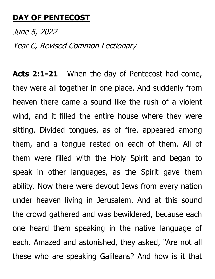## **DAY OF PENTECOST**

June 5, 2022 Year C, Revised Common Lectionary

**Acts 2:1-21** When the day of Pentecost had come, they were all together in one place. And suddenly from heaven there came a sound like the rush of a violent wind, and it filled the entire house where they were sitting. Divided tongues, as of fire, appeared among them, and a tongue rested on each of them. All of them were filled with the Holy Spirit and began to speak in other languages, as the Spirit gave them ability. Now there were devout Jews from every nation under heaven living in Jerusalem. And at this sound the crowd gathered and was bewildered, because each one heard them speaking in the native language of each. Amazed and astonished, they asked, "Are not all these who are speaking Galileans? And how is it that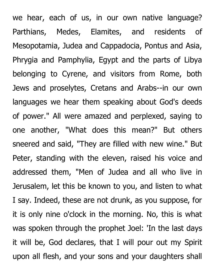we hear, each of us, in our own native language? Parthians, Medes, Elamites, and residents of Mesopotamia, Judea and Cappadocia, Pontus and Asia, Phrygia and Pamphylia, Egypt and the parts of Libya belonging to Cyrene, and visitors from Rome, both Jews and proselytes, Cretans and Arabs--in our own languages we hear them speaking about God's deeds of power." All were amazed and perplexed, saying to one another, "What does this mean?" But others sneered and said, "They are filled with new wine." But Peter, standing with the eleven, raised his voice and addressed them, "Men of Judea and all who live in Jerusalem, let this be known to you, and listen to what I say. Indeed, these are not drunk, as you suppose, for it is only nine o'clock in the morning. No, this is what was spoken through the prophet Joel: 'In the last days it will be, God declares, that I will pour out my Spirit upon all flesh, and your sons and your daughters shall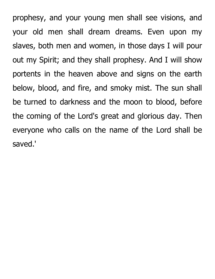prophesy, and your young men shall see visions, and your old men shall dream dreams. Even upon my slaves, both men and women, in those days I will pour out my Spirit; and they shall prophesy. And I will show portents in the heaven above and signs on the earth below, blood, and fire, and smoky mist. The sun shall be turned to darkness and the moon to blood, before the coming of the Lord's great and glorious day. Then everyone who calls on the name of the Lord shall be saved.'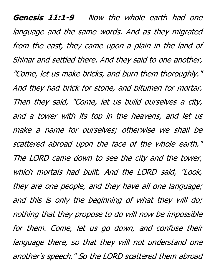Genesis 11:1-9 Now the whole earth had one language and the same words. And as they migrated from the east, they came upon a plain in the land of Shinar and settled there. And they said to one another, "Come, let us make bricks, and burn them thoroughly." And they had brick for stone, and bitumen for mortar. Then they said, "Come, let us build ourselves a city, and a tower with its top in the heavens, and let us make a name for ourselves; otherwise we shall be scattered abroad upon the face of the whole earth." The LORD came down to see the city and the tower, which mortals had built. And the LORD said, "Look, they are one people, and they have all one language; and this is only the beginning of what they will do; nothing that they propose to do will now be impossible for them. Come, let us go down, and confuse their language there, so that they will not understand one another's speech." So the LORD scattered them abroad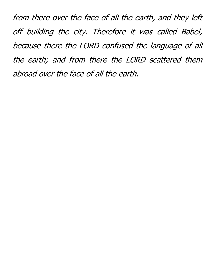from there over the face of all the earth, and they left off building the city. Therefore it was called Babel, because there the LORD confused the language of all the earth; and from there the LORD scattered them abroad over the face of all the earth.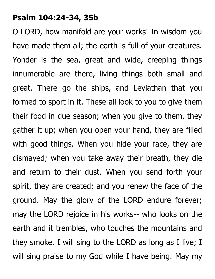## **Psalm 104:24-34, 35b**

O LORD, how manifold are your works! In wisdom you have made them all; the earth is full of your creatures. Yonder is the sea, great and wide, creeping things innumerable are there, living things both small and great. There go the ships, and Leviathan that you formed to sport in it. These all look to you to give them their food in due season; when you give to them, they gather it up; when you open your hand, they are filled with good things. When you hide your face, they are dismayed; when you take away their breath, they die and return to their dust. When you send forth your spirit, they are created; and you renew the face of the ground. May the glory of the LORD endure forever; may the LORD rejoice in his works-- who looks on the earth and it trembles, who touches the mountains and they smoke. I will sing to the LORD as long as I live; I will sing praise to my God while I have being. May my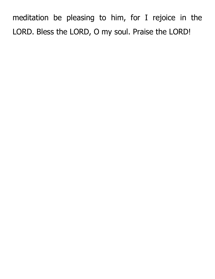meditation be pleasing to him, for I rejoice in the LORD. Bless the LORD, O my soul. Praise the LORD!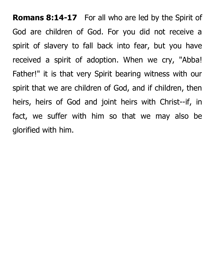**Romans 8:14-17** For all who are led by the Spirit of God are children of God. For you did not receive a spirit of slavery to fall back into fear, but you have received a spirit of adoption. When we cry, "Abba! Father!" it is that very Spirit bearing witness with our spirit that we are children of God, and if children, then heirs, heirs of God and joint heirs with Christ--if, in fact, we suffer with him so that we may also be glorified with him.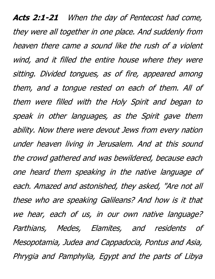**Acts 2:1-21** When the day of Pentecost had come, they were all together in one place. And suddenly from heaven there came a sound like the rush of a violent wind, and it filled the entire house where they were sitting. Divided tongues, as of fire, appeared among them, and a tongue rested on each of them. All of them were filled with the Holy Spirit and began to speak in other languages, as the Spirit gave them ability. Now there were devout Jews from every nation under heaven living in Jerusalem. And at this sound the crowd gathered and was bewildered, because each one heard them speaking in the native language of each. Amazed and astonished, they asked, "Are not all these who are speaking Galileans? And how is it that we hear, each of us, in our own native language? Parthians, Medes, Elamites, and residents of Mesopotamia, Judea and Cappadocia, Pontus and Asia, Phrygia and Pamphylia, Egypt and the parts of Libya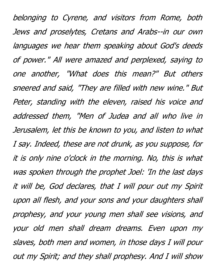belonging to Cyrene, and visitors from Rome, both Jews and proselytes, Cretans and Arabs--in our own languages we hear them speaking about God's deeds of power." All were amazed and perplexed, saying to one another, "What does this mean?" But others sneered and said, "They are filled with new wine." But Peter, standing with the eleven, raised his voice and addressed them, "Men of Judea and all who live in Jerusalem, let this be known to you, and listen to what I say. Indeed, these are not drunk, as you suppose, for it is only nine o'clock in the morning. No, this is what was spoken through the prophet Joel: 'In the last days it will be, God declares, that I will pour out my Spirit upon all flesh, and your sons and your daughters shall prophesy, and your young men shall see visions, and your old men shall dream dreams. Even upon my slaves, both men and women, in those days I will pour out my Spirit; and they shall prophesy. And I will show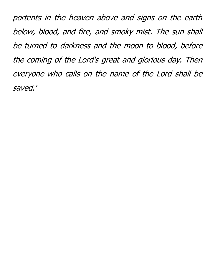portents in the heaven above and signs on the earth below, blood, and fire, and smoky mist. The sun shall be turned to darkness and the moon to blood, before the coming of the Lord's great and glorious day. Then everyone who calls on the name of the Lord shall be saved.'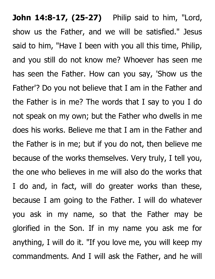**John 14:8-17, (25-27)** Philip said to him, "Lord, show us the Father, and we will be satisfied." Jesus said to him, "Have I been with you all this time, Philip, and you still do not know me? Whoever has seen me has seen the Father. How can you say, 'Show us the Father'? Do you not believe that I am in the Father and the Father is in me? The words that I say to you I do not speak on my own; but the Father who dwells in me does his works. Believe me that I am in the Father and the Father is in me; but if you do not, then believe me because of the works themselves. Very truly, I tell you, the one who believes in me will also do the works that I do and, in fact, will do greater works than these, because I am going to the Father. I will do whatever you ask in my name, so that the Father may be glorified in the Son. If in my name you ask me for anything, I will do it. "If you love me, you will keep my commandments. And I will ask the Father, and he will